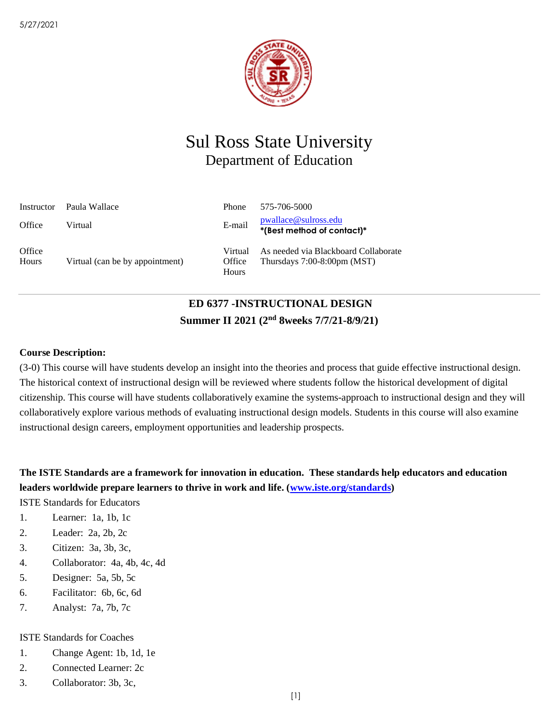

# Sul Ross State University Department of Education

| Instructor      | Paula Wallace                   | <b>Phone</b>               | 575-706-5000                                                           |
|-----------------|---------------------------------|----------------------------|------------------------------------------------------------------------|
| Office          | Virtual                         | E-mail                     | <u>pwallace@sulross.edu</u><br>*(Best method of contact)*              |
| Office<br>Hours | Virtual (can be by appointment) | Virtual<br>Office<br>Hours | As needed via Blackboard Collaborate<br>Thursdays $7:00-8:00$ pm (MST) |

# **ED 6377 -INSTRUCTIONAL DESIGN Summer II 2021 (2nd 8weeks 7/7/21-8/9/21)**

### **Course Description:**

(3-0) This course will have students develop an insight into the theories and process that guide effective instructional design. The historical context of instructional design will be reviewed where students follow the historical development of digital citizenship. This course will have students collaboratively examine the systems-approach to instructional design and they will collaboratively explore various methods of evaluating instructional design models. Students in this course will also examine instructional design careers, employment opportunities and leadership prospects.

**The ISTE Standards are a framework for innovation in education. These standards help educators and education leaders worldwide prepare learners to thrive in work and life. [\(www.iste.org/standards\)](http://www.iste.org/standards)**

ISTE Standards for Educators

- 1. Learner: 1a, 1b, 1c
- 2. Leader: 2a, 2b, 2c
- 3. Citizen: 3a, 3b, 3c,
- 4. Collaborator: 4a, 4b, 4c, 4d
- 5. Designer: 5a, 5b, 5c
- 6. Facilitator: 6b, 6c, 6d
- 7. Analyst: 7a, 7b, 7c

### ISTE Standards for Coaches

- 1. Change Agent: 1b, 1d, 1e
- 2. Connected Learner: 2c
- 3. Collaborator: 3b, 3c,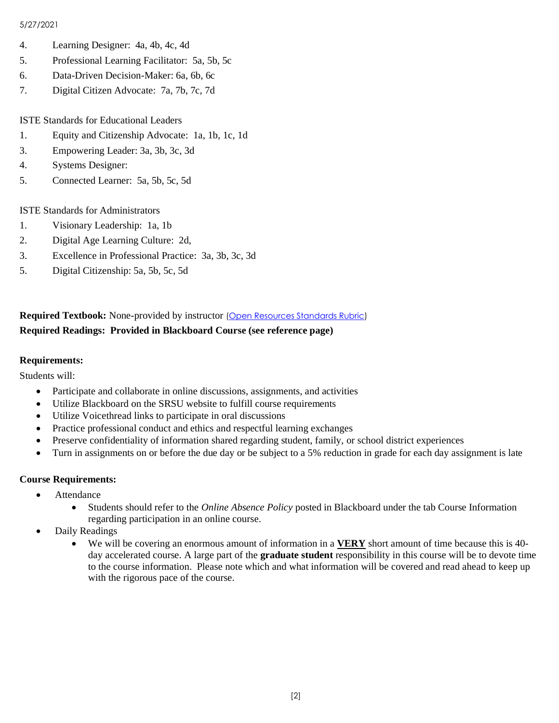- 4. Learning Designer: 4a, 4b, 4c, 4d
- 5. Professional Learning Facilitator: 5a, 5b, 5c
- 6. Data-Driven Decision-Maker: 6a, 6b, 6c
- 7. Digital Citizen Advocate: 7a, 7b, 7c, 7d

ISTE Standards for Educational Leaders

- 1. Equity and Citizenship Advocate: 1a, 1b, 1c, 1d
- 3. Empowering Leader: 3a, 3b, 3c, 3d
- 4. Systems Designer:
- 5. Connected Learner: 5a, 5b, 5c, 5d

ISTE Standards for Administrators

- 1. Visionary Leadership: 1a, 1b
- 2. Digital Age Learning Culture: 2d,
- 3. Excellence in Professional Practice: 3a, 3b, 3c, 3d
- 5. Digital Citizenship: 5a, 5b, 5c, 5d

## **Required Textbook:** None-provided by instructor [\(Open Resources Standards Rubric\)](https://www.achieve.org/files/AchieveOERRubrics.pdf) **Required Readings: Provided in Blackboard Course (see reference page)**

### **Requirements:**

Students will:

- Participate and collaborate in online discussions, assignments, and activities
- Utilize Blackboard on the SRSU website to fulfill course requirements
- Utilize Voicethread links to participate in oral discussions
- Practice professional conduct and ethics and respectful learning exchanges
- Preserve confidentiality of information shared regarding student, family, or school district experiences
- Turn in assignments on or before the due day or be subject to a 5% reduction in grade for each day assignment is late

### **Course Requirements:**

- Attendance
	- Students should refer to the *Online Absence Policy* posted in Blackboard under the tab Course Information regarding participation in an online course.
- Daily Readings
	- We will be covering an enormous amount of information in a **VERY** short amount of time because this is 40 day accelerated course. A large part of the **graduate student** responsibility in this course will be to devote time to the course information. Please note which and what information will be covered and read ahead to keep up with the rigorous pace of the course.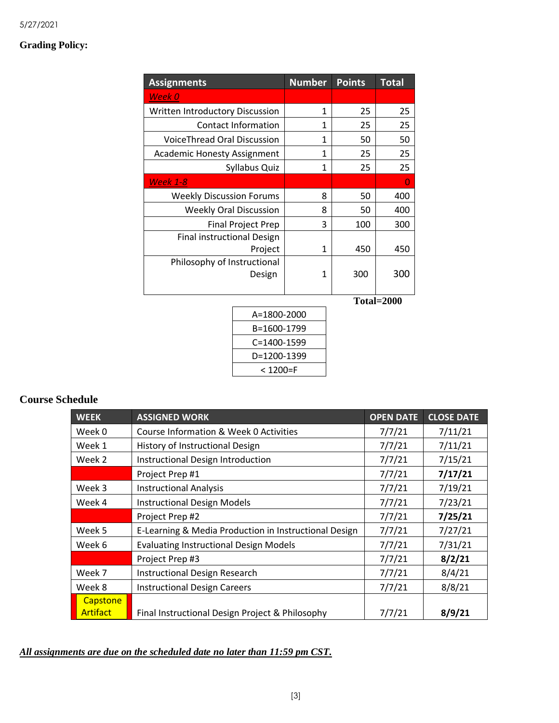# **Grading Policy:**

| <b>Assignments</b>                           | <b>Number</b> | <b>Points</b> | <b>Total</b> |
|----------------------------------------------|---------------|---------------|--------------|
| Week 0                                       |               |               |              |
| Written Introductory Discussion              | 1             | 25            | 25           |
| <b>Contact Information</b>                   | 1             | 25            | 25           |
| VoiceThread Oral Discussion                  | 1             | 50            | 50           |
| <b>Academic Honesty Assignment</b>           | 1             | 25            | 25           |
| Syllabus Quiz                                | 1             | 25            | 25           |
| <b>Week 1-8</b>                              |               |               | O            |
| <b>Weekly Discussion Forums</b>              | 8             | 50            | 400          |
| <b>Weekly Oral Discussion</b>                | 8             | 50            | 400          |
| <b>Final Project Prep</b>                    | 3             | 100           | 300          |
| <b>Final instructional Design</b><br>Project | 1             | 450           | 450          |
| Philosophy of Instructional<br>Design        | 1             | 300           | 300          |
|                                              |               |               | Total=2000   |
| A=1800-2000                                  |               |               |              |
| B=1600-1799                                  |               |               |              |

| B=1600-1799 |
|-------------|
| C=1400-1599 |
| D=1200-1399 |
| < 1200=F    |

# **Course Schedule**

| <b>WEEK</b>                        | <b>ASSIGNED WORK</b>                                  | <b>OPEN DATE</b> | <b>CLOSE DATE</b> |
|------------------------------------|-------------------------------------------------------|------------------|-------------------|
| Week 0                             | Course Information & Week 0 Activities                | 7/7/21           | 7/11/21           |
| Week 1                             | History of Instructional Design                       | 7/7/21           | 7/11/21           |
| Week 2                             | Instructional Design Introduction                     | 7/7/21           | 7/15/21           |
|                                    | Project Prep #1                                       | 7/7/21           | 7/17/21           |
| Week 3                             | <b>Instructional Analysis</b>                         | 7/7/21           | 7/19/21           |
| Week 4                             | <b>Instructional Design Models</b>                    | 7/7/21           | 7/23/21           |
|                                    | Project Prep #2                                       | 7/7/21           | 7/25/21           |
| Week 5                             | E-Learning & Media Production in Instructional Design | 7/7/21           | 7/27/21           |
| Week 6                             | <b>Evaluating Instructional Design Models</b>         | 7/7/21           | 7/31/21           |
|                                    | Project Prep #3                                       | 7/7/21           | 8/2/21            |
| Week 7                             | <b>Instructional Design Research</b>                  | 7/7/21           | 8/4/21            |
| Week 8                             | <b>Instructional Design Careers</b>                   | 7/7/21           | 8/8/21            |
| <b>Capstone</b><br><b>Artifact</b> | Final Instructional Design Project & Philosophy       | 7/7/21           | 8/9/21            |

### *All assignments are due on the scheduled date no later than 11:59 pm CST.*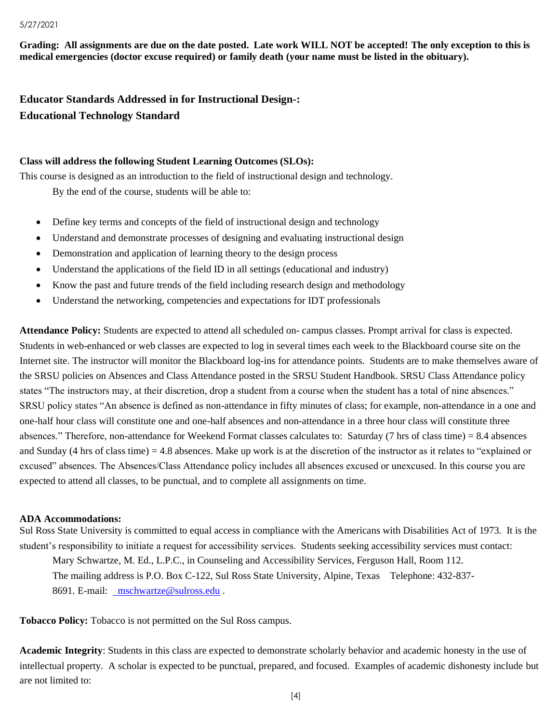**Grading: All assignments are due on the date posted. Late work WILL NOT be accepted! The only exception to this is medical emergencies (doctor excuse required) or family death (your name must be listed in the obituary).** 

**Educator Standards Addressed in for Instructional Design-: Educational Technology Standard**

#### **Class will address the following Student Learning Outcomes (SLOs):**

This course is designed as an introduction to the field of instructional design and technology. By the end of the course, students will be able to:

- Define key terms and concepts of the field of instructional design and technology
- Understand and demonstrate processes of designing and evaluating instructional design
- Demonstration and application of learning theory to the design process
- Understand the applications of the field ID in all settings (educational and industry)
- Know the past and future trends of the field including research design and methodology
- Understand the networking, competencies and expectations for IDT professionals

**Attendance Policy:** Students are expected to attend all scheduled on- campus classes. Prompt arrival for class is expected. Students in web-enhanced or web classes are expected to log in several times each week to the Blackboard course site on the Internet site. The instructor will monitor the Blackboard log-ins for attendance points. Students are to make themselves aware of the SRSU policies on Absences and Class Attendance posted in the SRSU Student Handbook. SRSU Class Attendance policy states "The instructors may, at their discretion, drop a student from a course when the student has a total of nine absences." SRSU policy states "An absence is defined as non-attendance in fifty minutes of class; for example, non-attendance in a one and one-half hour class will constitute one and one-half absences and non-attendance in a three hour class will constitute three absences." Therefore, non-attendance for Weekend Format classes calculates to: Saturday (7 hrs of class time) = 8.4 absences and Sunday (4 hrs of class time) = 4.8 absences. Make up work is at the discretion of the instructor as it relates to "explained or excused" absences. The Absences/Class Attendance policy includes all absences excused or unexcused. In this course you are expected to attend all classes, to be punctual, and to complete all assignments on time.

### **ADA Accommodations:**

Sul Ross State University is committed to equal access in compliance with the Americans with Disabilities Act of 1973. It is the student's responsibility to initiate a request for accessibility services. Students seeking accessibility services must contact: Mary Schwartze, M. Ed., L.P.C., in Counseling and Accessibility Services, Ferguson Hall, Room 112. The mailing address is P.O. Box C-122, Sul Ross State University, Alpine, Texas Telephone: 432-837- 8691. E-mail: [mschwartze@sulross.edu](mailto:%20%20mschwartze@sulross.edu) .

**Tobacco Policy:** Tobacco is not permitted on the Sul Ross campus.

**Academic Integrity**: Students in this class are expected to demonstrate scholarly behavior and academic honesty in the use of intellectual property. A scholar is expected to be punctual, prepared, and focused. Examples of academic dishonesty include but are not limited to: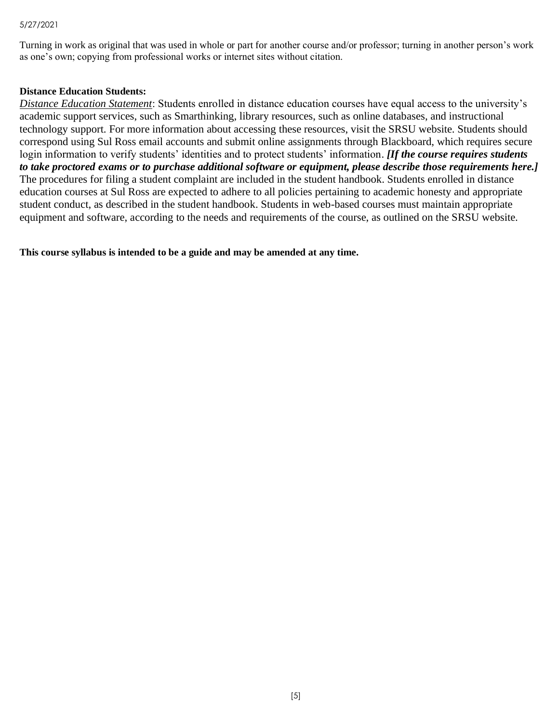Turning in work as original that was used in whole or part for another course and/or professor; turning in another person's work as one's own; copying from professional works or internet sites without citation.

### **Distance Education Students:**

*Distance Education Statement*: Students enrolled in distance education courses have equal access to the university's academic support services, such as Smarthinking, library resources, such as online databases, and instructional technology support. For more information about accessing these resources, visit the SRSU website. Students should correspond using Sul Ross email accounts and submit online assignments through Blackboard, which requires secure login information to verify students' identities and to protect students' information. *[If the course requires students to take proctored exams or to purchase additional software or equipment, please describe those requirements here.]* The procedures for filing a student complaint are included in the student handbook. Students enrolled in distance education courses at Sul Ross are expected to adhere to all policies pertaining to academic honesty and appropriate student conduct, as described in the student handbook. Students in web-based courses must maintain appropriate equipment and software, according to the needs and requirements of the course, as outlined on the SRSU website.

**This course syllabus is intended to be a guide and may be amended at any time.**